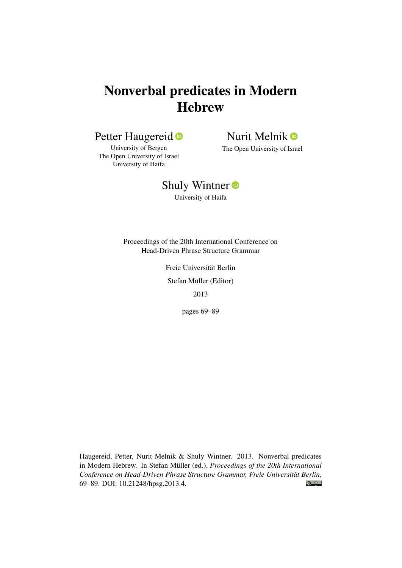# Nonverbal predicates in Modern **Hebrew**

## Petter Haugereid<sup>®</sup>

Nurit Melnik <sup>®</sup>

University of Bergen The Open University of Israel University of Haifa

The Open University of Israel

## Shuly Wintner<sup>®</sup>

University of Haifa

Proceedings of the 20th International Conference on Head-Driven Phrase Structure Grammar

Freie Universität Berlin

Stefan Müller (Editor)

2013

pages 69–89

Haugereid, Petter, Nurit Melnik & Shuly Wintner. 2013. Nonverbal predicates in Modern Hebrew. In Stefan Müller (ed.), *Proceedings of the 20th International Conference on Head-Driven Phrase Structure Grammar, Freie Universität Berlin*,  $\odot$   $\odot$ 69–89. DOI: [10.21248/hpsg.2013.4.](http://doi.org/10.21248/hpsg.2013.4)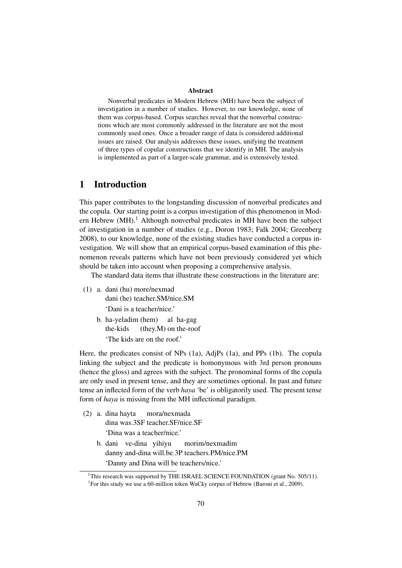#### Abstract

Nonverbal predicates in Modern Hebrew (MH) have been the subject of investigation in a number of studies. However, to our knowledge, none of them was corpus-based. Corpus searches reveal that the nonverbal constructions which are most commonly addressed in the literature are not the most commonly used ones. Once a broader range of data is considered additional issues are raised. Our analysis addresses these issues, unifying the treatment of three types of copular constructions that we identify in MH. The analysis is implemented as part of a larger-scale grammar, and is extensively tested.

## 1 Introduction

This paper contributes to the longstanding discussion of nonverbal predicates and the copula. Our starting point is a corpus investigation of this phenomenon in Modern Hebrew  $(MH)$ .<sup>1</sup> Although nonverbal predicates in MH have been the subject of investigation in a number of studies (e.g., Doron 1983; Falk 2004; Greenberg 2008), to our knowledge, none of the existing studies have conducted a corpus investigation. We will show that an empirical corpus-based examination of this phenomenon reveals patterns which have not been previously considered yet which should be taken into account when proposing a comprehensive analysis.

The standard data items that illustrate these constructions in the literature are:

- (1) a. dani (hu) more/nexmad dani (he) teacher.SM/nice.SM 'Dani is a teacher/nice.'
	- b. ha-yeladim (hem) the-kids (they.M) on the-roof al ha-gag 'The kids are on the roof.'

Here, the predicates consist of NPs (1a), AdjPs (1a), and PPs (1b). The copula linking the subject and the predicate is homonymous with 3rd person pronouns (hence the gloss) and agrees with the subject. The pronominal forms of the copula are only used in present tense, and they are sometimes optional. In past and future tense an inflected form of the verb *haya* 'be' is obligatorily used. The present tense form of *haya* is missing from the MH inflectional paradigm.

(2) a. dina hayta dina was.3SF teacher.SF/nice.SF mora/nexmada

'Dina was a teacher/nice.'

b. dani ve-dina yihiyu danny and-dina will.be.3P teachers.PM/nice.PM morim/nexmadim 'Danny and Dina will be teachers/nice.'

<sup>&</sup>lt;sup>†</sup>This research was supported by THE ISRAEL SCIENCE FOUNDATION (grant No. 505/11).

<sup>&</sup>lt;sup>1</sup> For this study we use a 60-million token WaCky corpus of Hebrew (Baroni et al., 2009).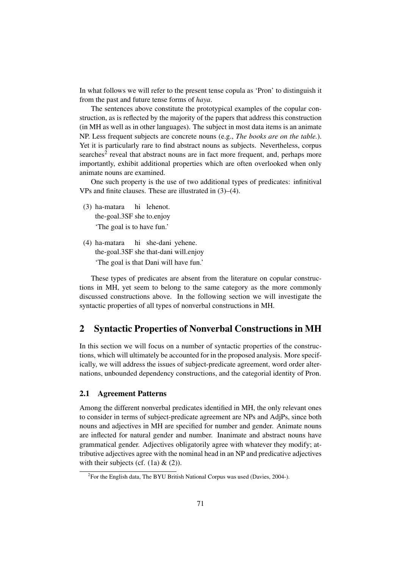In what follows we will refer to the present tense copula as 'Pron' to distinguish it from the past and future tense forms of *haya*.

The sentences above constitute the prototypical examples of the copular construction, as is reflected by the majority of the papers that address this construction (in MH as well as in other languages). The subject in most data items is an animate NP. Less frequent subjects are concrete nouns (e.g., *The books are on the table.*). Yet it is particularly rare to find abstract nouns as subjects. Nevertheless, corpus searches<sup>2</sup> reveal that abstract nouns are in fact more frequent, and, perhaps more importantly, exhibit additional properties which are often overlooked when only animate nouns are examined.

One such property is the use of two additional types of predicates: infinitival VPs and finite clauses. These are illustrated in (3)–(4).

- (3) ha-matara the-goal.3SF she to.enjoy hi lehenot. 'The goal is to have fun.'
- (4) ha-matara the-goal.3SF she that-dani will.enjoy hi she-dani yehene. 'The goal is that Dani will have fun.'

These types of predicates are absent from the literature on copular constructions in MH, yet seem to belong to the same category as the more commonly discussed constructions above. In the following section we will investigate the syntactic properties of all types of nonverbal constructions in MH.

## 2 Syntactic Properties of Nonverbal Constructions in MH

In this section we will focus on a number of syntactic properties of the constructions, which will ultimately be accounted for in the proposed analysis. More specifically, we will address the issues of subject-predicate agreement, word order alternations, unbounded dependency constructions, and the categorial identity of Pron.

#### 2.1 Agreement Patterns

Among the different nonverbal predicates identified in MH, the only relevant ones to consider in terms of subject-predicate agreement are NPs and AdjPs, since both nouns and adjectives in MH are specified for number and gender. Animate nouns are inflected for natural gender and number. Inanimate and abstract nouns have grammatical gender. Adjectives obligatorily agree with whatever they modify; attributive adjectives agree with the nominal head in an NP and predicative adjectives with their subjects (cf.  $(1a) \& (2)$ ).

<sup>&</sup>lt;sup>2</sup> For the English data, The BYU British National Corpus was used (Davies, 2004-).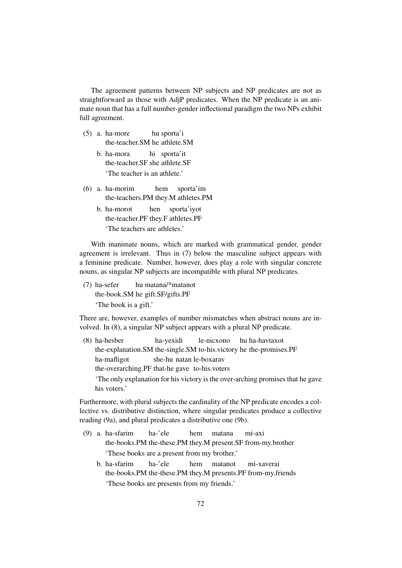The agreement patterns between NP subjects and NP predicates are not as straightforward as those with AdjP predicates. When the NP predicate is an animate noun that has a full number-gender inflectional paradigm the two NPs exhibit full agreement.

- (5) a. ha-more the-teacher.SM he athlete.SM hu sporta'i
	- b. ha-mora the-teacher.SF she athlete.SF hi sporta'it 'The teacher is an athlete.'
- (6) a. ha-morim the-teachers.PM they.M athletes.PM hem sporta'im
	- b. ha-morot the-teacher.PF they.F athletes.PF hen sporta'iyot 'The teachers are athletes.'

With inanimate nouns, which are marked with grammatical gender, gender agreement is irrelevant. Thus in (7) below the masculine subject appears with a feminine predicate. Number, however, does play a role with singular concrete nouns, as singular NP subjects are incompatible with plural NP predicates.

(7) ha-sefer the-book.SM he gift.SF/gifts.PF hu matana/\*matanot 'The book is a gift.'

There are, however, examples of number mismatches when abstract nouns are involved. In (8), a singular NP subject appears with a plural NP predicate.

(8) ha-hesber the-explanation.SM the-single.SM to-his.victory he the-promises.PF ha-yexidi le-nicxono hu ha-havtaxot ha-mafligot the-overarching.PF that-he gave to-his.voters she-hu natan le-boxarav 'The only explanation for his victory is the over-arching promises that he gave his voters.'

Furthermore, with plural subjects the cardinality of the NP predicate encodes a collective vs. distributive distinction, where singular predicates produce a collective reading (9a), and plural predicates a distributive one (9b).

- (9) a. ha-sfarim the-books.PM the-these.PM they.M present.SF from-my.brother ha-'ele hem matana mi-axi 'These books are a present from my brother.'
	- b. ha-sfarim the-books.PM the-these.PM they.M presents.PF from-my.friends ha-'ele hem matanot mi-xaverai 'These books are presents from my friends.'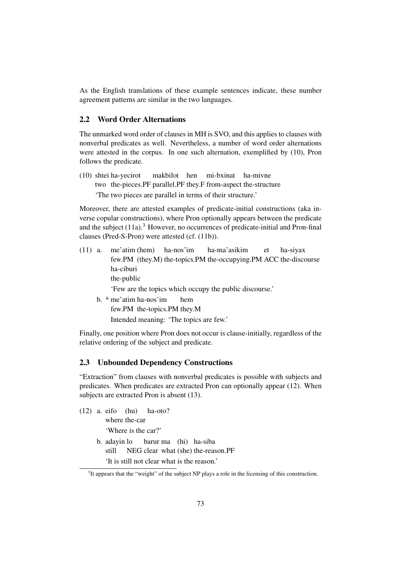As the English translations of these example sentences indicate, these number agreement patterns are similar in the two languages.

### 2.2 Word Order Alternations

The unmarked word order of clauses in MH is SVO, and this applies to clauses with nonverbal predicates as well. Nevertheless, a number of word order alternations were attested in the corpus. In one such alternation, exemplified by (10), Pron follows the predicate.

(10) shtei ha-yecirot two the-pieces. PF parallel. PF they. F from-aspect the-structure makbilot hen mi-bxinat ha-mivne 'The two pieces are parallel in terms of their structure.'

Moreover, there are attested examples of predicate-initial constructions (aka inverse copular constructions), where Pron optionally appears between the predicate and the subject  $(11a)$ .<sup>3</sup> However, no occurrences of predicate-initial and Pron-final clauses (Pred-S-Pron) were attested (cf. (11b)).

(11) a. me'atim (hem) few.PM (they.M) the-topics.PM the-occupying.PM ACC the-discourse ha-nos'im ha-ma'asikim et ha-siyax ha-ciburi the-public

'Few are the topics which occupy the public discourse.'

b. \* me'atim ha-nos'im few.PM the-topics.PM they.M hem Intended meaning: 'The topics are few.'

Finally, one position where Pron does not occur is clause-initially, regardless of the relative ordering of the subject and predicate.

### 2.3 Unbounded Dependency Constructions

"Extraction" from clauses with nonverbal predicates is possible with subjects and predicates. When predicates are extracted Pron can optionally appear (12). When subjects are extracted Pron is absent (13).

(12) a. eifo (hu) where the-car ha-oto? 'Where is the car?' b. adayin lo still NEG clear what (she) the-reason.PF barur ma (hi) ha-siba 'It is still not clear what is the reason.'

 $3$ It appears that the "weight" of the subject NP plays a role in the licensing of this construction.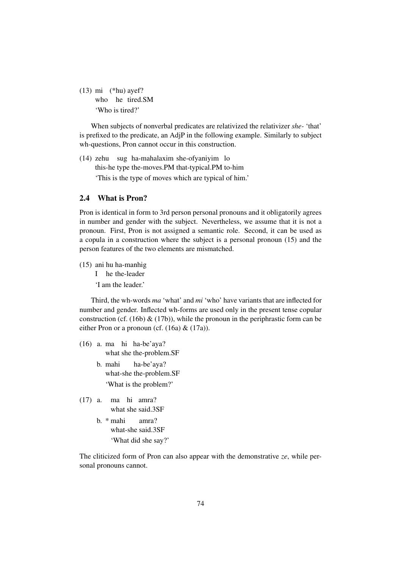(13) mi (\*hu) ayef? who he tired.SM 'Who is tired?'

When subjects of nonverbal predicates are relativized the relativizer *she-* 'that' is prefixed to the predicate, an AdjP in the following example. Similarly to subject wh-questions, Pron cannot occur in this construction.

(14) zehu sug ha-mahalaxim she-ofyaniyim lo this-he type the-moves.PM that-typical.PM to-him 'This is the type of moves which are typical of him.'

## 2.4 What is Pron?

Pron is identical in form to 3rd person personal pronouns and it obligatorily agrees in number and gender with the subject. Nevertheless, we assume that it is not a pronoun. First, Pron is not assigned a semantic role. Second, it can be used as a copula in a construction where the subject is a personal pronoun (15) and the person features of the two elements are mismatched.

- (15) ani hu ha-manhig
	- I he the-leader
	- 'I am the leader.'

Third, the wh-words *ma* 'what' and *mi* 'who' have variants that are inflected for number and gender. Inflected wh-forms are used only in the present tense copular construction (cf. (16b)  $\&$  (17b)), while the pronoun in the periphrastic form can be either Pron or a pronoun (cf. (16a) & (17a)).

- (16) a. ma hi ha-be'aya? what she the-problem.SF
	- b. mahi what-she the-problem.SF ha-be'aya? 'What is the problem?'
- (17) a. ma hi amra? what she said.3SF
	- b. \* mahi what-she said.3SF amra? 'What did she say?'

The cliticized form of Pron can also appear with the demonstrative *ze*, while personal pronouns cannot.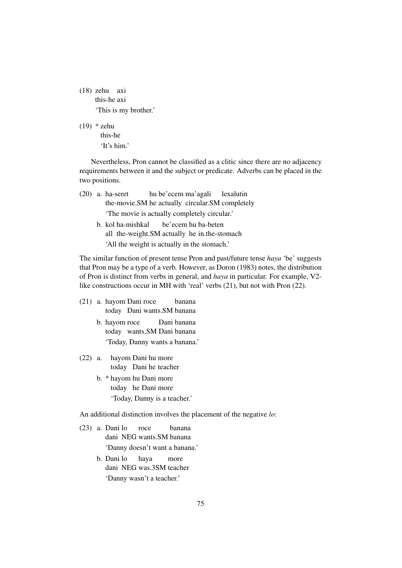(18) zehu axi this-he axi 'This is my brother.'

(19) \* zehu this-he

'It's him'

Nevertheless, Pron cannot be classified as a clitic since there are no adjacency requirements between it and the subject or predicate. Adverbs can be placed in the two positions.

- (20) a. ha-seret the-movie.SM he actually circular.SM completely hu be'ecem ma'agali lexalutin 'The movie is actually completely circular.'
	- b. kol ha-mishkal all the-weight.SM actually he in.the-stomach be'ecem hu ba-beten 'All the weight is actually in the stomach.'

The similar function of present tense Pron and past/future tense *haya* 'be' suggests that Pron may be a type of a verb. However, as Doron (1983) notes, the distribution of Pron is distinct from verbs in general, and *haya* in particular. For example, V2 like constructions occur in MH with 'real' verbs (21), but not with Pron (22).

- (21) a. hayom Dani roce today Dani wants.SM banana banana
	- b. hayom roce today wants.SM Dani banana Dani banana 'Today, Danny wants a banana.'
- $(22)$  a. today Dani he teacher Dani hu more
	- b. \* hayom hu Dani more today he Dani more 'Today, Danny is a teacher.'

An additional distinction involves the placement of the negative *lo*:

- (23) a. Dani lo dani NEG wants.SM banana roce banana 'Danny doesn't want a banana.'
	- b. Dani lo dani NEG was.3SM teacher haya more 'Danny wasn't a teacher.'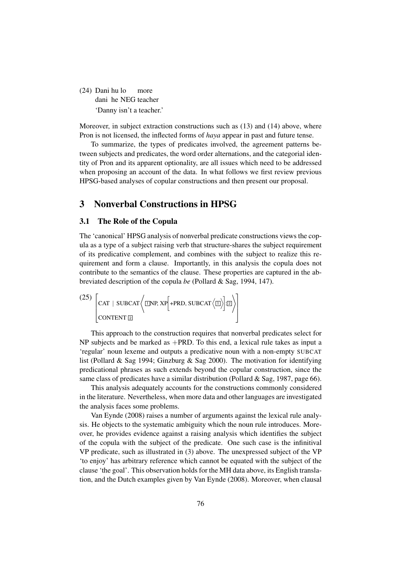(24) Dani hu lo dani he NEG teacher more 'Danny isn't a teacher.'

Moreover, in subject extraction constructions such as (13) and (14) above, where Pron is not licensed, the inflected forms of *haya* appear in past and future tense.

To summarize, the types of predicates involved, the agreement patterns between subjects and predicates, the word order alternations, and the categorial identity of Pron and its apparent optionality, are all issues which need to be addressed when proposing an account of the data. In what follows we first review previous HPSG-based analyses of copular constructions and then present our proposal.

## 3 Nonverbal Constructions in HPSG

#### 3.1 The Role of the Copula

The 'canonical' HPSG analysis of nonverbal predicate constructions views the copula as a type of a subject raising verb that structure-shares the subject requirement of its predicative complement, and combines with the subject to realize this requirement and form a clause. Importantly, in this analysis the copula does not contribute to the semantics of the clause. These properties are captured in the abbreviated description of the copula *be* (Pollard & Sag, 1994, 147).

$$
\begin{bmatrix} (25) \begin{bmatrix} \text{CAT} \mid \text{SUBCAT} \end{bmatrix} \begin{bmatrix} \text{LNP} \setminus \text{XP} \end{bmatrix} + \text{PRD}, \text{SUBCAT} \langle \text{L} \rangle \end{bmatrix} \begin{bmatrix} \text{L2} \end{bmatrix}
$$

This approach to the construction requires that nonverbal predicates select for NP subjects and be marked as +PRD. To this end, a lexical rule takes as input a 'regular' noun lexeme and outputs a predicative noun with a non-empty SUBCAT list (Pollard & Sag 1994; Ginzburg & Sag 2000). The motivation for identifying predicational phrases as such extends beyond the copular construction, since the same class of predicates have a similar distribution (Pollard & Sag, 1987, page 66).

This analysis adequately accounts for the constructions commonly considered in the literature. Nevertheless, when more data and other languages are investigated the analysis faces some problems.

Van Eynde (2008) raises a number of arguments against the lexical rule analysis. He objects to the systematic ambiguity which the noun rule introduces. Moreover, he provides evidence against a raising analysis which identifies the subject of the copula with the subject of the predicate. One such case is the infinitival VP predicate, such as illustrated in (3) above. The unexpressed subject of the VP 'to enjoy' has arbitrary reference which cannot be equated with the subject of the clause 'the goal'. This observation holds for the MH data above, its English translation, and the Dutch examples given by Van Eynde (2008). Moreover, when clausal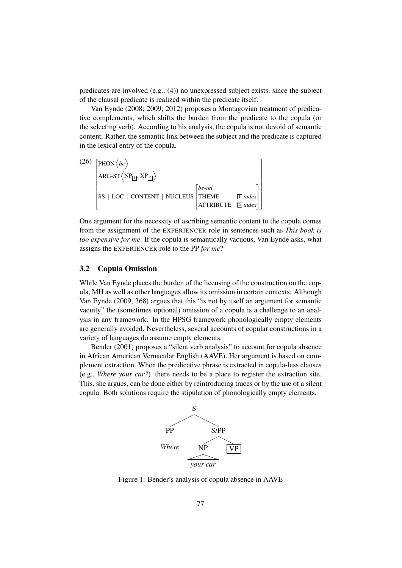predicates are involved (e.g., (4)) no unexpressed subject exists, since the subject of the clausal predicate is realized within the predicate itself.

Van Eynde (2008; 2009; 2012) proposes a Montagovian treatment of predicative complements, which shifts the burden from the predicate to the copula (or the selecting verb). According to his analysis, the copula is not devoid of semantic content. Rather, the semantic link between the subject and the predicate is captured in the lexical entry of the copula.

(26) 
$$
\begin{bmatrix} \text{PHON} & \langle be \rangle \\ \text{ARG-ST} & \langle NP_{\boxed{1}}, NP_{\boxed{2}} \rangle \\ \text{SS} | LOC | CONTENT | NUCLEUS \begin{bmatrix} be-rel \\ THEME & \boxed{1} index \\ ATTRIBUTE & \boxed{2} index \end{bmatrix} \end{bmatrix}
$$

One argument for the necessity of ascribing semantic content to the copula comes from the assignment of the EXPERIENCER role in sentences such as *This book is too expensive for me*. If the copula is semantically vacuous, Van Eynde asks, what assigns the EXPERIENCER role to the PP *for me*?

#### 3.2 Copula Omission

While Van Eynde places the burden of the licensing of the construction on the copula, MH as well as other languages allow its omission in certain contexts. Although Van Eynde (2009, 368) argues that this "is not by itself an argument for semantic vacuity" the (sometimes optional) omission of a copula is a challenge to an analysis in any framework. In the HPSG framework phonologically empty elements are generally avoided. Nevertheless, several accounts of copular constructions in a variety of languages do assume empty elements.

Bender (2001) proposes a "silent verb analysis" to account for copula absence in African American Vernacular English (AAVE). Her argument is based on complement extraction. When the predicative phrase is extracted in copula-less clauses (e.g., *Where your car?*) there needs to be a place to register the extraction site. This, she argues, can be done either by reintroducing traces or by the use of a silent copula. Both solutions require the stipulation of phonologically empty elements.



Figure 1: Bender's analysis of copula absence in AAVE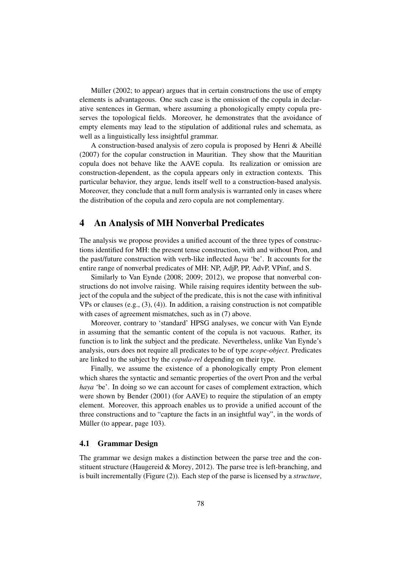Müller  $(2002;$  to appear) argues that in certain constructions the use of empty elements is advantageous. One such case is the omission of the copula in declarative sentences in German, where assuming a phonologically empty copula preserves the topological fields. Moreover, he demonstrates that the avoidance of empty elements may lead to the stipulation of additional rules and schemata, as well as a linguistically less insightful grammar.

A construction-based analysis of zero copula is proposed by Henri & Abeillé (2007) for the copular construction in Mauritian. They show that the Mauritian copula does not behave like the AAVE copula. Its realization or omission are construction-dependent, as the copula appears only in extraction contexts. This particular behavior, they argue, lends itself well to a construction-based analysis. Moreover, they conclude that a null form analysis is warranted only in cases where the distribution of the copula and zero copula are not complementary.

## 4 An Analysis of MH Nonverbal Predicates

The analysis we propose provides a unified account of the three types of constructions identified for MH: the present tense construction, with and without Pron, and the past/future construction with verb-like inflected *haya* 'be'. It accounts for the entire range of nonverbal predicates of MH: NP, AdjP, PP, AdvP, VPinf, and S.

Similarly to Van Eynde (2008; 2009; 2012), we propose that nonverbal constructions do not involve raising. While raising requires identity between the subject of the copula and the subject of the predicate, this is not the case with infinitival VPs or clauses (e.g.,  $(3)$ ,  $(4)$ ). In addition, a raising construction is not compatible with cases of agreement mismatches, such as in (7) above.

Moreover, contrary to 'standard' HPSG analyses, we concur with Van Eynde in assuming that the semantic content of the copula is not vacuous. Rather, its function is to link the subject and the predicate. Nevertheless, unlike Van Eynde's analysis, ours does not require all predicates to be of type *scope-object*. Predicates are linked to the subject by the *copula-rel* depending on their type.

Finally, we assume the existence of a phonologically empty Pron element which shares the syntactic and semantic properties of the overt Pron and the verbal *haya* 'be'. In doing so we can account for cases of complement extraction, which were shown by Bender (2001) (for AAVE) to require the stipulation of an empty element. Moreover, this approach enables us to provide a unified account of the three constructions and to "capture the facts in an insightful way", in the words of Müller (to appear, page 103).

#### 4.1 Grammar Design

The grammar we design makes a distinction between the parse tree and the constituent structure (Haugereid & Morey, 2012). The parse tree is left-branching, and is built incrementally (Figure (2)). Each step of the parse is licensed by a *structure*,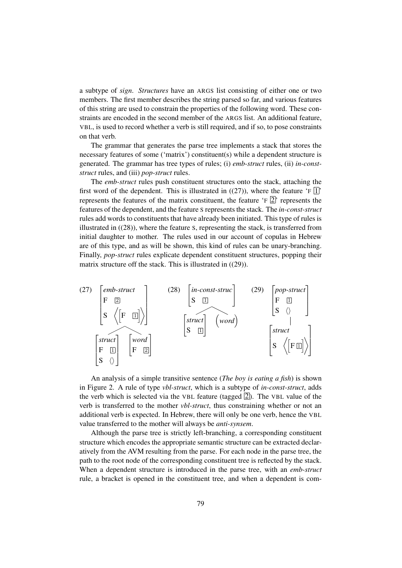a subtype of *sign*. *Structures* have an ARGS list consisting of either one or two members. The first member describes the string parsed so far, and various features of this string are used to constrain the properties of the following word. These constraints are encoded in the second member of the ARGS list. An additional feature, VBL, is used to record whether a verb is still required, and if so, to pose constraints on that verb.

The grammar that generates the parse tree implements a stack that stores the necessary features of some ('matrix') constituent(s) while a dependent structure is generated. The grammar has tree types of rules; (i) *emb-struct* rules, (ii) *in-conststruct* rules, and (iii) *pop-struct* rules.

The *emb-struct* rules push constituent structures onto the stack, attaching the first word of the dependent. This is illustrated in  $((27))$ , where the feature 'F  $[1]$ ' represents the features of the matrix constituent, the feature  $\mathbb{E}[Z]$  represents the features of the dependent, and the feature S represents the stack. The *in-const-struct* rules add words to constituents that have already been initiated. This type of rules is illustrated in ((28)), where the feature S, representing the stack, is transferred from initial daughter to mother. The rules used in our account of copulas in Hebrew are of this type, and as will be shown, this kind of rules can be unary-branching. Finally, *pop-struct* rules explicate dependent constituent structures, popping their matrix structure off the stack. This is illustrated in ((29)).



An analysis of a simple transitive sentence (*The boy is eating a fish*) is shown in Figure 2. A rule of type *vbl-struct*, which is a subtype of *in-const-struct*, adds the verb which is selected via the VBL feature (tagged  $\boxed{2}$ ). The VBL value of the verb is transferred to the mother *vbl-struct*, thus constraining whether or not an additional verb is expected. In Hebrew, there will only be one verb, hence the VBL value transferred to the mother will always be *anti-synsem*.

Although the parse tree is strictly left-branching, a corresponding constituent structure which encodes the appropriate semantic structure can be extracted declaratively from the AVM resulting from the parse. For each node in the parse tree, the path to the root node of the corresponding constituent tree is reflected by the stack. When a dependent structure is introduced in the parse tree, with an *emb-struct* rule, a bracket is opened in the constituent tree, and when a dependent is com-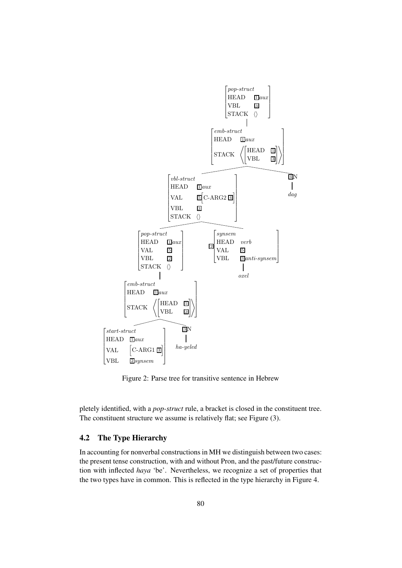

Figure 2: Parse tree for transitive sentence in Hebrew

pletely identified, with a *pop-struct* rule, a bracket is closed in the constituent tree. The constituent structure we assume is relatively flat; see Figure (3).

## 4.2 The Type Hierarchy

In accounting for nonverbal constructions in MH we distinguish between two cases: the present tense construction, with and without Pron, and the past/future construction with inflected *haya* 'be'. Nevertheless, we recognize a set of properties that the two types have in common. This is reflected in the type hierarchy in Figure 4.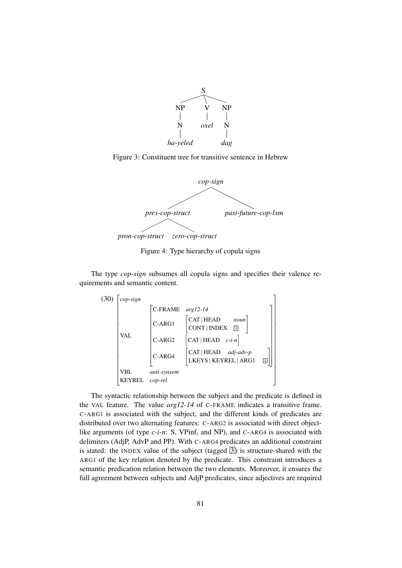

Figure 3: Constituent tree for transitive sentence in Hebrew



Figure 4: Type hierarchy of copula signs

The type *cop-sign* subsumes all copula signs and specifies their valence requirements and semantic content.



The syntactic relationship between the subject and the predicate is defined in the VAL feature. The value *arg12-14* of C-FRAME indicates a transitive frame. C-ARG1 is associated with the subject, and the different kinds of predicates are distributed over two alternating features: C-ARG2 is associated with direct objectlike arguments (of type *c-i-n*: S, VPinf, and NP), and C-ARG4 is associated with delimiters (AdjP, AdvP and PP). With C-ARG4 predicates an additional constraint is stated: the INDEX value of the subject (tagged  $\overline{3}$ ) is structure-shared with the ARG1 of the key relation denoted by the predicate. This constraint introduces a semantic predication relation between the two elements. Moreover, it ensures the full agreement between subjects and AdjP predicates, since adjectives are required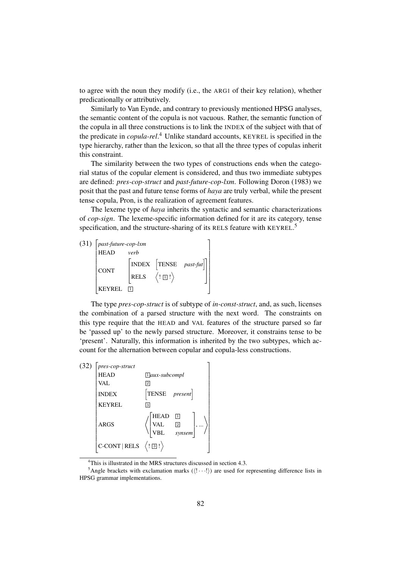to agree with the noun they modify (i.e., the ARG1 of their key relation), whether predicationally or attributively.

Similarly to Van Eynde, and contrary to previously mentioned HPSG analyses, the semantic content of the copula is not vacuous. Rather, the semantic function of the copula in all three constructions is to link the INDEX of the subject with that of the predicate in *copula-rel*. <sup>4</sup> Unlike standard accounts, KEYREL is specified in the type hierarchy, rather than the lexicon, so that all the three types of copulas inherit this constraint.

The similarity between the two types of constructions ends when the categorial status of the copular element is considered, and thus two immediate subtypes are defined: *pres-cop-struct* and *past-future-cop-lxm*. Following Doron (1983) we posit that the past and future tense forms of *haya* are truly verbal, while the present tense copula, Pron, is the realization of agreement features.

The lexeme type of *haya* inherits the syntactic and semantic characterizations of *cop-sign*. The lexeme-specific information defined for it are its category, tense specification, and the structure-sharing of its RELS feature with KEYREL.<sup>5</sup>



The type *pres-cop-struct* is of subtype of *in-const-struct*, and, as such, licenses the combination of a parsed structure with the next word. The constraints on this type require that the HEAD and VAL features of the structure parsed so far be 'passed up' to the newly parsed structure. Moreover, it constrains tense to be 'present'. Naturally, this information is inherited by the two subtypes, which account for the alternation between copular and copula-less constructions.

| (32) | pres-cop-struct                                         |                                                                   |
|------|---------------------------------------------------------|-------------------------------------------------------------------|
|      | HEAD                                                    | $\exists$ aux-subcompl                                            |
|      | VAL                                                     | 2                                                                 |
|      | <b>INDEX</b>                                            | $ TENSE$ present                                                  |
|      | <b>KEYREL</b>                                           | 3                                                                 |
|      | <b>ARGS</b>                                             | <b>HEAD</b><br>◫<br><b>VAL</b><br>$\frac{2}{synsem}$<br> ,<br>VBL |
|      | $C-CONT   RELS \langle  \overline{\mathbf{3}}  \rangle$ |                                                                   |

<sup>&</sup>lt;sup>4</sup>This is illustrated in the MRS structures discussed in section 4.3.

<sup>&</sup>lt;sup>5</sup>Angle brackets with exclamation marks  $(\langle \cdot \cdot \cdot \cdot \rangle)$  are used for representing difference lists in HPSG grammar implementations.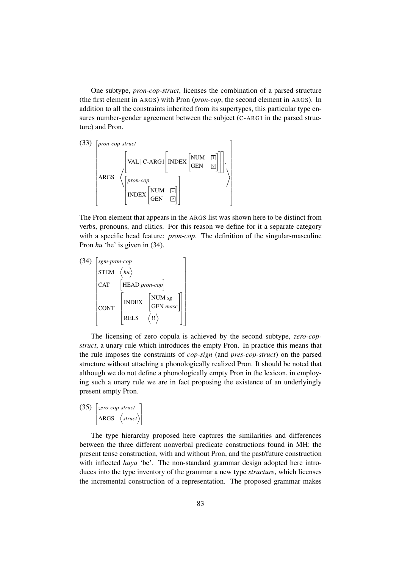One subtype, *pron-cop-struct*, licenses the combination of a parsed structure (the first element in ARGS) with Pron (*pron-cop*, the second element in ARGS). In addition to all the constraints inherited from its supertypes, this particular type ensures number-gender agreement between the subject (C-ARG1 in the parsed structure) and Pron.

$$
(33) \begin{bmatrix} \text{pron-cop-struct} \\ \begin{bmatrix} \text{VAL} | \text{C-ARG1} \end{bmatrix} \begin{bmatrix} \text{NDEX} \begin{bmatrix} \text{NUM} & \boxed{1} \\ \boxed{2} \end{bmatrix} \end{bmatrix}, \\ \begin{bmatrix} \text{ARGS} & \begin{bmatrix} \text{pron-cop} \\ \text{INDEX} \end{bmatrix} \begin{bmatrix} \text{NUM} & \boxed{1} \\ \text{GEN} & \boxed{2} \end{bmatrix} \end{bmatrix} \end{bmatrix}
$$

The Pron element that appears in the ARGS list was shown here to be distinct from verbs, pronouns, and clitics. For this reason we define for it a separate category with a specific head feature: *pron-cop*. The definition of the singular-masculine Pron *hu* 'he' is given in (34).

$$
(34) \begin{bmatrix} \text{sgm-pron-cop} \\ \text{STEM} & \langle h u \rangle \\ \text{CAT} & [\text{HEAD pron-cop}] \\ \text{CONT} & [\text{NDEX} & [\text{GEN } \text{masc}] \\ \text{RELS} & \langle \text{!!} \rangle \end{bmatrix}
$$

The licensing of zero copula is achieved by the second subtype, *zero-copstruct*, a unary rule which introduces the empty Pron. In practice this means that the rule imposes the constraints of *cop-sign* (and *pres-cop-struct*) on the parsed structure without attaching a phonologically realized Pron. It should be noted that although we do not define a phonologically empty Pron in the lexicon, in employing such a unary rule we are in fact proposing the existence of an underlyingly present empty Pron.

$$
(35) \begin{bmatrix} zero-cop-struct \\ ARGS & \langle struct \rangle \end{bmatrix}
$$

The type hierarchy proposed here captures the similarities and differences between the three different nonverbal predicate constructions found in MH: the present tense construction, with and without Pron, and the past/future construction with inflected *haya* 'be'. The non-standard grammar design adopted here introduces into the type inventory of the grammar a new type *structure*, which licenses the incremental construction of a representation. The proposed grammar makes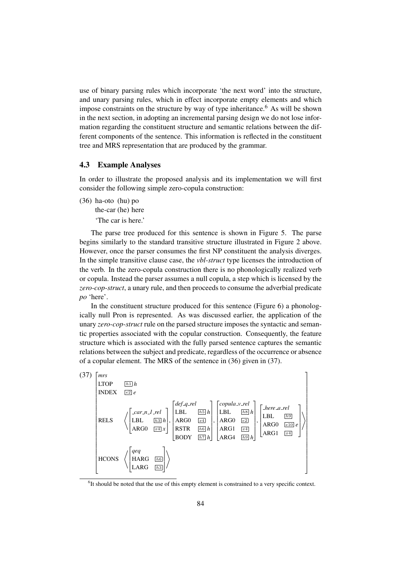use of binary parsing rules which incorporate 'the next word' into the structure, and unary parsing rules, which in effect incorporate empty elements and which impose constraints on the structure by way of type inheritance.<sup>6</sup> As will be shown in the next section, in adopting an incremental parsing design we do not lose information regarding the constituent structure and semantic relations between the different components of the sentence. This information is reflected in the constituent tree and MRS representation that are produced by the grammar.

#### 4.3 Example Analyses

In order to illustrate the proposed analysis and its implementation we will first consider the following simple zero-copula construction:

(36) ha-oto (hu) po

the-car (he) here

'The car is here.'

The parse tree produced for this sentence is shown in Figure 5. The parse begins similarly to the standard transitive structure illustrated in Figure 2 above. However, once the parser consumes the first NP constituent the analysis diverges. In the simple transitive clause case, the *vbl-struct* type licenses the introduction of the verb. In the zero-copula construction there is no phonologically realized verb or copula. Instead the parser assumes a null copula, a step which is licensed by the *zero-cop-struct*, a unary rule, and then proceeds to consume the adverbial predicate *po* 'here'.

In the constituent structure produced for this sentence (Figure 6) a phonologically null Pron is represented. As was discussed earlier, the application of the unary *zero-cop-struct* rule on the parsed structure imposes the syntactic and semantic properties associated with the copular construction. Consequently, the feature structure which is associated with the fully parsed sentence captures the semantic relations between the subject and predicate, regardless of the occurrence or absence of a copular element. The MRS of the sentence in (36) given in (37).



<sup>&</sup>lt;sup>6</sup>It should be noted that the use of this empty element is constrained to a very specific context.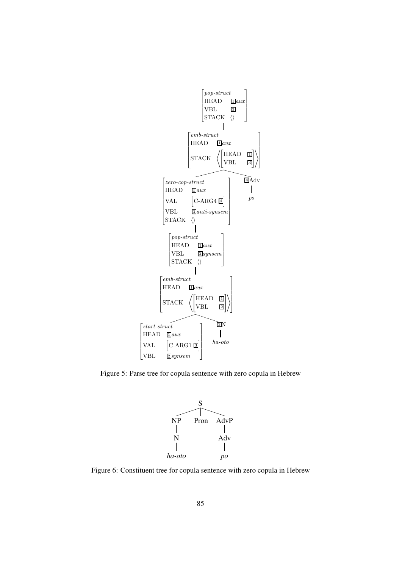

Figure 5: Parse tree for copula sentence with zero copula in Hebrew

 $\mathbf{I}$ 



Figure 6: Constituent tree for copula sentence with zero copula in Hebrew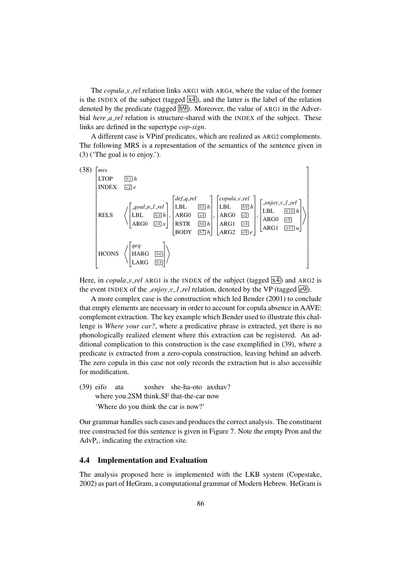The *copula v rel* relation links ARG1 with ARG4, where the value of the former is the INDEX of the subject (tagged  $\overline{X4}$ ), and the latter is the label of the relation denoted by the predicate (tagged  $\overline{h9}$ ). Moreover, the value of ARG1 in the Adverbial *here\_a\_rel* relation is structure-shared with the INDEX of the subject. These links are defined in the supertype *cop-sign*.

A different case is VPinf predicates, which are realized as ARG2 complements. The following MRS is a representation of the semantics of the sentence given in (3) ('The goal is to enjoy.').



Here, in *copula\_v\_rel* ARG1 is the INDEX of the subject (tagged  $\overline{X4}$ ) and ARG2 is the event INDEX of the *\_enjoy\_v\_1 \_rel* relation, denoted by the VP (tagged  $e^{9}$ ).

A more complex case is the construction which led Bender (2001) to conclude that empty elements are necessary in order to account for copula absence in AAVE: complement extraction. The key example which Bender used to illustrate this challenge is *Where your car?*, where a predicative phrase is extracted, yet there is no phonologically realized element where this extraction can be registered. An additional complication to this construction is the case exemplified in (39), where a predicate is extracted from a zero-copula construction, leaving behind an adverb. The zero copula in this case not only records the extraction but is also accessible for modification.

(39) eifo where you.2SM think.SF that-the-car now ata xoshev she-ha-oto axshav? 'Where do you think the car is now?'

Our grammar handles such cases and produces the correct analysis. The constituent tree constructed for this sentence is given in Figure 7. Note the empty Pron and the  $AdvP<sub>i</sub>$ , indicating the extraction site.

#### 4.4 Implementation and Evaluation

The analysis proposed here is implemented with the LKB system (Copestake, 2002) as part of HeGram, a computational grammar of Modern Hebrew. HeGram is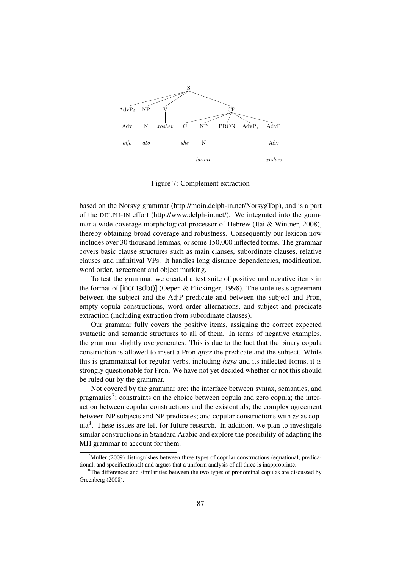

Figure 7: Complement extraction

based on the Norsyg grammar (http://moin.delph-in.net/NorsygTop), and is a part of the DELPH-IN effort (http://www.delph-in.net/). We integrated into the grammar a wide-coverage morphological processor of Hebrew (Itai & Wintner, 2008), thereby obtaining broad coverage and robustness. Consequently our lexicon now includes over 30 thousand lemmas, or some 150,000 inflected forms. The grammar covers basic clause structures such as main clauses, subordinate clauses, relative clauses and infinitival VPs. It handles long distance dependencies, modification, word order, agreement and object marking.

To test the grammar, we created a test suite of positive and negative items in the format of [incr tsdb()] (Oepen & Flickinger, 1998). The suite tests agreement between the subject and the AdjP predicate and between the subject and Pron, empty copula constructions, word order alternations, and subject and predicate extraction (including extraction from subordinate clauses).

Our grammar fully covers the positive items, assigning the correct expected syntactic and semantic structures to all of them. In terms of negative examples, the grammar slightly overgenerates. This is due to the fact that the binary copula construction is allowed to insert a Pron *after* the predicate and the subject. While this is grammatical for regular verbs, including *haya* and its inflected forms, it is strongly questionable for Pron. We have not yet decided whether or not this should be ruled out by the grammar.

Not covered by the grammar are: the interface between syntax, semantics, and pragmatics<sup>7</sup>; constraints on the choice between copula and zero copula; the interaction between copular constructions and the existentials; the complex agreement between NP subjects and NP predicates; and copular constructions with *ze* as cop $ula<sup>8</sup>$ . These issues are left for future research. In addition, we plan to investigate similar constructions in Standard Arabic and explore the possibility of adapting the MH grammar to account for them.

 $^7$ Müller (2009) distinguishes between three types of copular constructions (equational, predicational, and specificational) and argues that a uniform analysis of all three is inappropriate.

<sup>&</sup>lt;sup>8</sup>The differences and similarities between the two types of pronominal copulas are discussed by Greenberg (2008).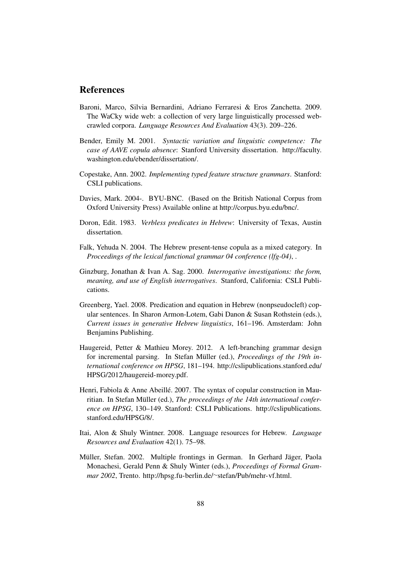## References

- Baroni, Marco, Silvia Bernardini, Adriano Ferraresi & Eros Zanchetta. 2009. The WaCky wide web: a collection of very large linguistically processed webcrawled corpora. *Language Resources And Evaluation* 43(3). 209–226.
- Bender, Emily M. 2001. *Syntactic variation and linguistic competence: The case of AAVE copula absence*: Stanford University dissertation. http://faculty. washington.edu/ebender/dissertation/.
- Copestake, Ann. 2002. *Implementing typed feature structure grammars*. Stanford: CSLI publications.
- Davies, Mark. 2004-. BYU-BNC. (Based on the British National Corpus from Oxford University Press) Available online at http://corpus.byu.edu/bnc/.
- Doron, Edit. 1983. *Verbless predicates in Hebrew*: University of Texas, Austin dissertation.
- Falk, Yehuda N. 2004. The Hebrew present-tense copula as a mixed category. In *Proceedings of the lexical functional grammar 04 conference (lfg-04)*, .
- Ginzburg, Jonathan & Ivan A. Sag. 2000. *Interrogative investigations: the form, meaning, and use of English interrogatives*. Stanford, California: CSLI Publications.
- Greenberg, Yael. 2008. Predication and equation in Hebrew (nonpseudocleft) copular sentences. In Sharon Armon-Lotem, Gabi Danon & Susan Rothstein (eds.), *Current issues in generative Hebrew linguistics*, 161–196. Amsterdam: John Benjamins Publishing.
- Haugereid, Petter & Mathieu Morey. 2012. A left-branching grammar design for incremental parsing. In Stefan Müller (ed.), *Proceedings of the 19th international conference on HPSG*, 181–194. http://cslipublications.stanford.edu/ HPSG/2012/haugereid-morey.pdf.
- Henri, Fabiola & Anne Abeillé. 2007. The syntax of copular construction in Mauritian. In Stefan Müller (ed.), *The proceedings of the 14th international conference on HPSG*, 130–149. Stanford: CSLI Publications. http://cslipublications. stanford.edu/HPSG/8/.
- Itai, Alon & Shuly Wintner. 2008. Language resources for Hebrew. *Language Resources and Evaluation* 42(1). 75–98.
- Müller, Stefan. 2002. Multiple frontings in German. In Gerhard Jäger, Paola Monachesi, Gerald Penn & Shuly Winter (eds.), *Proceedings of Formal Grammar 2002*, Trento. http://hpsg.fu-berlin.de/∼stefan/Pub/mehr-vf.html.